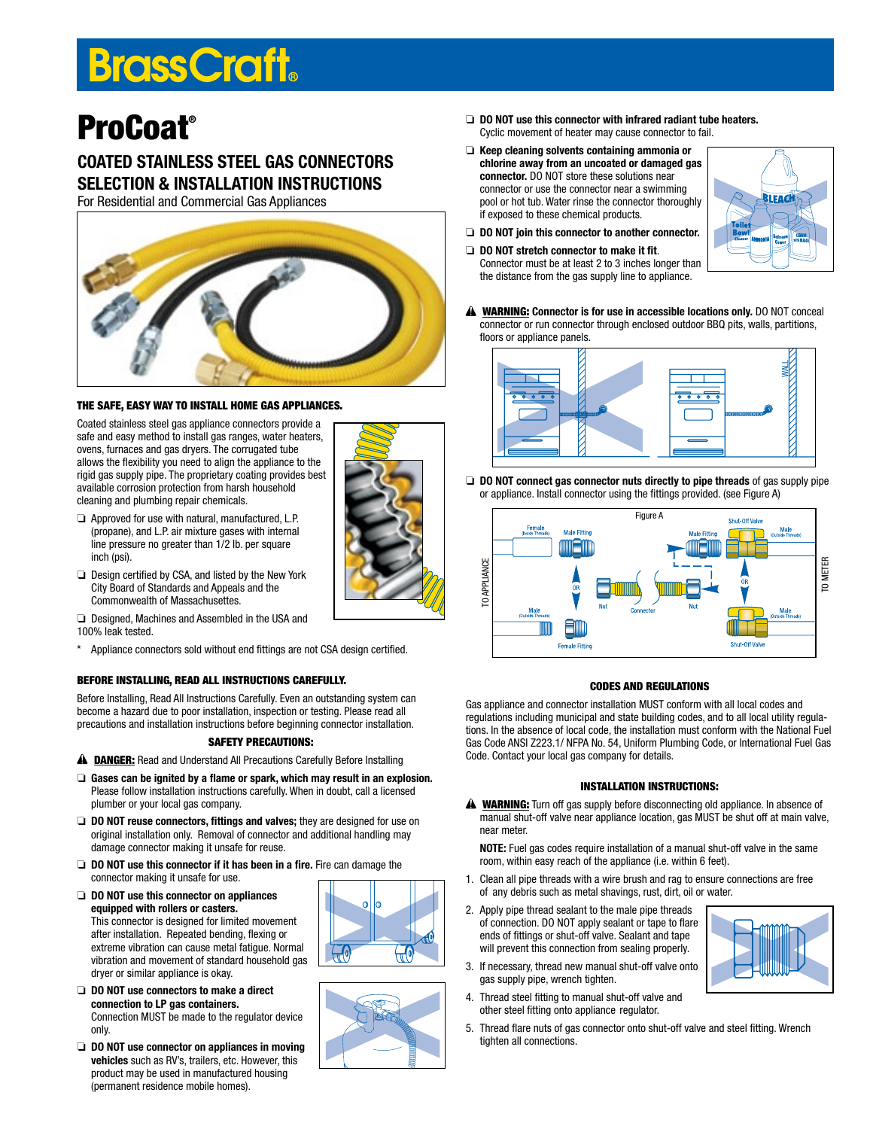# **BrassCraft**

## ProCoat®

### COATED STAINLESS STEEL GAS CONNECTORS SELECTION & INSTALLATION INSTRUCTIONS

For Residential and Commercial Gas Appliances



#### The Safe, Easy Way to Install Home Gas Appliances.

Coated stainless steel gas appliance connectors provide a safe and easy method to install gas ranges, water heaters, ovens, furnaces and gas dryers. The corrugated tube allows the flexibility you need to align the appliance to the rigid gas supply pipe. The proprietary coating provides best available corrosion protection from harsh household cleaning and plumbing repair chemicals.

- ❏ Approved for use with natural, manufactured, L.P. (propane), and L.P. air mixture gases with internal line pressure no greater than 1/2 lb. per square inch (psi).
- ❏ Design certified by CSA, and listed by the New York City Board of Standards and Appeals and the Commonwealth of Massachusettes.

❏ Designed, Machines and Assembled in the USA and 100% leak tested.

\* Appliance connectors sold without end fittings are not CSA design certified.

#### Before Installing, Read All Instructions Carefully.

Before Installing, Read All Instructions Carefully. Even an outstanding system can become a hazard due to poor installation, inspection or testing. Please read all precautions and installation instructions before beginning connector installation.

#### Safety Precautions:

- A DANGER: Read and Understand All Precautions Carefully Before Installing
- ❏ Gases can be ignited by a flame or spark, which may result in an explosion. Please follow installation instructions carefully. When in doubt, call a licensed plumber or your local gas company.
- ❏ DO NOT reuse connectors, fittings and valves; they are designed for use on original installation only. Removal of connector and additional handling may damage connector making it unsafe for reuse.
- ❏ DO NOT use this connector if it has been in a fire. Fire can damage the connector making it unsafe for use.
- ❏ DO NOT use this connector on appliances equipped with rollers or casters. This connector is designed for limited movement after installation. Repeated bending, flexing or extreme vibration can cause metal fatigue. Normal vibration and movement of standard household gas dryer or similar appliance is okay.
- ❏ DO NOT use connectors to make a direct connection to LP gas containers. Connection MUST be made to the regulator device only.
- ❏ DO NOT use connector on appliances in moving vehicles such as RV's, trailers, etc. However, this product may be used in manufactured housing (permanent residence mobile homes).
- ❏ DO NOT use this connector with infrared radiant tube heaters. Cyclic movement of heater may cause connector to fail.
- ❏ Keep cleaning solvents containing ammonia or chlorine away from an uncoated or damaged gas connector. DO NOT store these solutions near connector or use the connector near a swimming pool or hot tub. Water rinse the connector thoroughly if exposed to these chemical products.
- ❏ DO NOT join this connector to another connector.
- ❏ DO NOT stretch connector to make it fit. Connector must be at least 2 to 3 inches longer than the distance from the gas supply line to appliance.



A WARNING: Connector is for use in accessible locations only. DO NOT conceal connector or run connector through enclosed outdoor BBQ pits, walls, partitions, floors or appliance panels.



❏ DO NOT connect gas connector nuts directly to pipe threads of gas supply pipe or appliance. Install connector using the fittings provided. (see Figure A)



#### Codes and Regulations

Gas appliance and connector installation MUST conform with all local codes and regulations including municipal and state building codes, and to all local utility regulations. In the absence of local code, the installation must conform with the National Fuel Gas Code ANSI Z223.1/ NFPA No. 54, Uniform Plumbing Code, or International Fuel Gas Code. Contact your local gas company for details.

#### Installation Instructions:

**A WARNING:** Turn off gas supply before disconnecting old appliance. In absence of manual shut-off valve near appliance location, gas MUST be shut off at main valve, near meter.

NOTE: Fuel gas codes require installation of a manual shut-off valve in the same room, within easy reach of the appliance (i.e. within 6 feet).

- 1. Clean all pipe threads with a wire brush and rag to ensure connections are free of any debris such as metal shavings, rust, dirt, oil or water.
- 2. Apply pipe thread sealant to the male pipe threads of connection. DO NOT apply sealant or tape to flare ends of fittings or shut-off valve. Sealant and tape will prevent this connection from sealing properly.
- 3. If necessary, thread new manual shut-off valve onto gas supply pipe, wrench tighten.
- 4. Thread steel fitting to manual shut-off valve and other steel fitting onto appliance regulator.
- 5. Thread flare nuts of gas connector onto shut-off valve and steel fitting. Wrench tighten all connections.



 $\bigoplus$